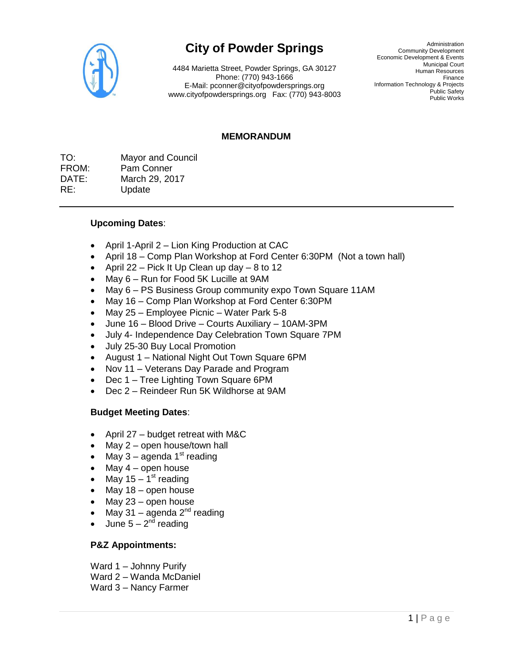

# **City of Powder Springs**

4484 Marietta Street, Powder Springs, GA 30127 Phone: (770) 943-1666 E-Mail: pconner@cityofpowdersprings.org www.cityofpowdersprings.org Fax: (770) 943-8003

Administration Community Development Economic Development & Events Municipal Court Human Resources Finance Information Technology & Projects Public Safety Public Works

#### **MEMORANDUM**

TO: Mayor and Council FROM: Pam Conner DATE: March 29, 2017 RE: Update

#### **Upcoming Dates**:

- April 1-April 2 Lion King Production at CAC
- April 18 Comp Plan Workshop at Ford Center 6:30PM (Not a town hall)
- April 22 Pick It Up Clean up day 8 to 12
- May 6 Run for Food 5K Lucille at 9AM
- May 6 PS Business Group community expo Town Square 11AM
- May 16 Comp Plan Workshop at Ford Center 6:30PM
- May 25 Employee Picnic Water Park 5-8
- June 16 Blood Drive Courts Auxiliary 10AM-3PM
- July 4- Independence Day Celebration Town Square 7PM
- July 25-30 Buy Local Promotion
- August 1 National Night Out Town Square 6PM
- Nov 11 Veterans Day Parade and Program
- Dec 1 Tree Lighting Town Square 6PM
- Dec 2 Reindeer Run 5K Wildhorse at 9AM

#### **Budget Meeting Dates**:

- April 27 budget retreat with M&C
- May 2 open house/town hall
- May  $3 a$ genda 1<sup>st</sup> reading
- $•$  May  $4$  open house
- May 15 1<sup>st</sup> reading
- $•$  May 18 open house
- $•$  May 23 open house
- May 31 agenda  $2^{nd}$  reading
- June  $5 2<sup>nd</sup>$  reading

#### **P&Z Appointments:**

- Ward 1 Johnny Purify
- Ward 2 Wanda McDaniel
- Ward 3 Nancy Farmer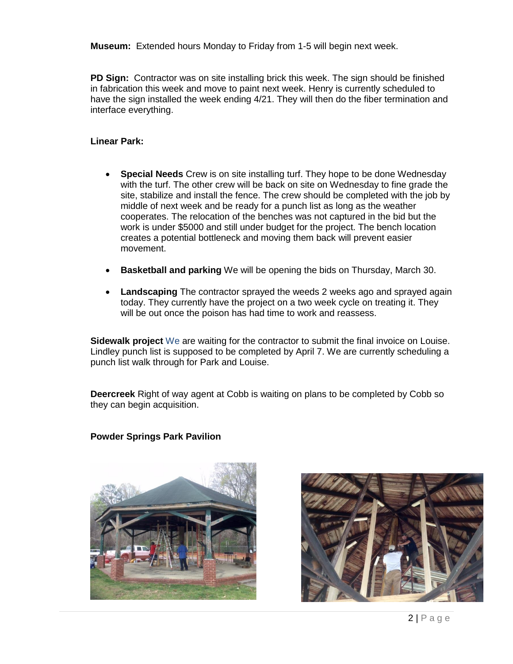**Museum:** Extended hours Monday to Friday from 1-5 will begin next week.

**PD Sign:** Contractor was on site installing brick this week. The sign should be finished in fabrication this week and move to paint next week. Henry is currently scheduled to have the sign installed the week ending 4/21. They will then do the fiber termination and interface everything.

## **Linear Park:**

- **Special Needs** Crew is on site installing turf. They hope to be done Wednesday with the turf. The other crew will be back on site on Wednesday to fine grade the site, stabilize and install the fence. The crew should be completed with the job by middle of next week and be ready for a punch list as long as the weather cooperates. The relocation of the benches was not captured in the bid but the work is under \$5000 and still under budget for the project. The bench location creates a potential bottleneck and moving them back will prevent easier movement.
- **Basketball and parking** We will be opening the bids on Thursday, March 30.
- **Landscaping** The contractor sprayed the weeds 2 weeks ago and sprayed again today. They currently have the project on a two week cycle on treating it. They will be out once the poison has had time to work and reassess.

**Sidewalk project** We are waiting for the contractor to submit the final invoice on Louise. Lindley punch list is supposed to be completed by April 7. We are currently scheduling a punch list walk through for Park and Louise.

**Deercreek** Right of way agent at Cobb is waiting on plans to be completed by Cobb so they can begin acquisition.

## **Powder Springs Park Pavilion**



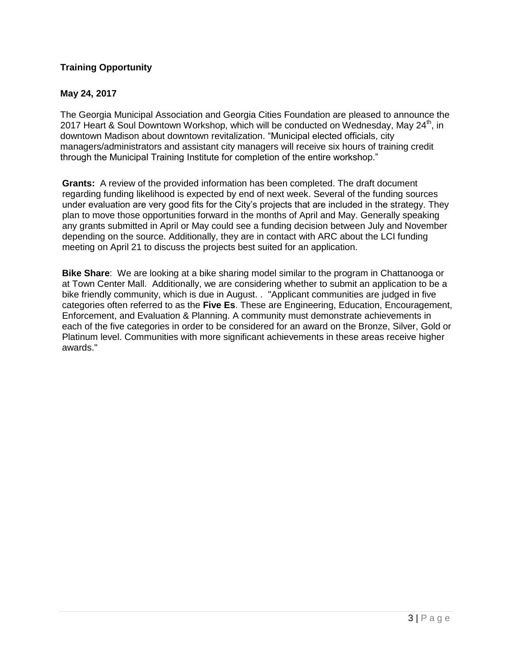# **Training Opportunity**

# **May 24, 2017**

The Georgia Municipal Association and Georgia Cities Foundation are pleased to announce the 2017 Heart & Soul Downtown Workshop, which will be conducted on Wednesday, May  $24^{\text{th}}$ , in downtown Madison about downtown revitalization. "Municipal elected officials, city managers/administrators and assistant city managers will receive six hours of training credit through the Municipal Training Institute for completion of the entire workshop."

**Grants:** A review of the provided information has been completed. The draft document regarding funding likelihood is expected by end of next week. Several of the funding sources under evaluation are very good fits for the City's projects that are included in the strategy. They plan to move those opportunities forward in the months of April and May. Generally speaking any grants submitted in April or May could see a funding decision between July and November depending on the source. Additionally, they are in contact with ARC about the LCI funding meeting on April 21 to discuss the projects best suited for an application.

**Bike Share**: We are looking at a bike sharing model similar to the program in Chattanooga or at Town Center Mall. Additionally, we are considering whether to submit an application to be a bike friendly community, which is due in August. . "Applicant communities are judged in five categories often referred to as the **[Five Es](http://www.bikeleague.org/content/5-es)**. These are Engineering, Education, Encouragement, Enforcement, and Evaluation & Planning. A community must demonstrate achievements in each of the five categories in order to be considered for an award on the Bronze, Silver, Gold or Platinum level. Communities with more significant achievements in these areas receive higher awards."